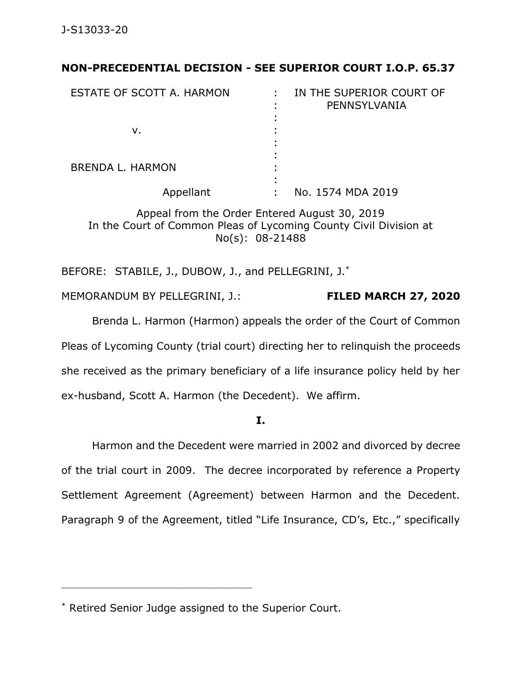# **NON-PRECEDENTIAL DECISION - SEE SUPERIOR COURT I.O.P. 65.37**

| ESTATE OF SCOTT A. HARMON | IN THE SUPERIOR COURT OF<br>٠.<br>PENNSYLVANIA |
|---------------------------|------------------------------------------------|
|                           |                                                |
| v.                        |                                                |
|                           |                                                |
| <b>BRENDA L. HARMON</b>   |                                                |
| Appellant                 | No. 1574 MDA 2019                              |

Appeal from the Order Entered August 30, 2019 In the Court of Common Pleas of Lycoming County Civil Division at No(s): 08-21488

BEFORE: STABILE, J., DUBOW, J., and PELLEGRINI, J.\*

MEMORANDUM BY PELLEGRINI, J.: **FILED MARCH 27, 2020**

Brenda L. Harmon (Harmon) appeals the order of the Court of Common Pleas of Lycoming County (trial court) directing her to relinquish the proceeds she received as the primary beneficiary of a life insurance policy held by her ex-husband, Scott A. Harmon (the Decedent). We affirm.

**I.**

Harmon and the Decedent were married in 2002 and divorced by decree of the trial court in 2009. The decree incorporated by reference a Property Settlement Agreement (Agreement) between Harmon and the Decedent. Paragraph 9 of the Agreement, titled "Life Insurance, CD's, Etc.," specifically

<sup>\*</sup> Retired Senior Judge assigned to the Superior Court.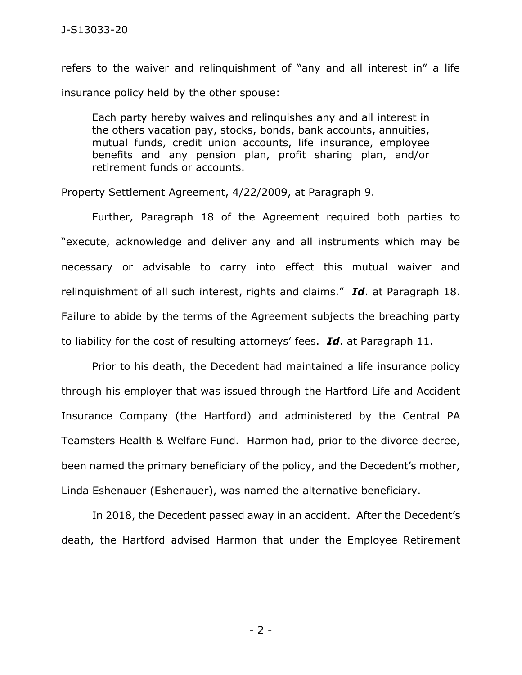refers to the waiver and relinquishment of "any and all interest in" a life insurance policy held by the other spouse:

Each party hereby waives and relinquishes any and all interest in the others vacation pay, stocks, bonds, bank accounts, annuities, mutual funds, credit union accounts, life insurance, employee benefits and any pension plan, profit sharing plan, and/or retirement funds or accounts.

Property Settlement Agreement, 4/22/2009, at Paragraph 9.

Further, Paragraph 18 of the Agreement required both parties to "execute, acknowledge and deliver any and all instruments which may be necessary or advisable to carry into effect this mutual waiver and relinquishment of all such interest, rights and claims." *Id*. at Paragraph 18. Failure to abide by the terms of the Agreement subjects the breaching party to liability for the cost of resulting attorneys' fees. *Id*. at Paragraph 11.

Prior to his death, the Decedent had maintained a life insurance policy through his employer that was issued through the Hartford Life and Accident Insurance Company (the Hartford) and administered by the Central PA Teamsters Health & Welfare Fund. Harmon had, prior to the divorce decree, been named the primary beneficiary of the policy, and the Decedent's mother, Linda Eshenauer (Eshenauer), was named the alternative beneficiary.

In 2018, the Decedent passed away in an accident. After the Decedent's death, the Hartford advised Harmon that under the Employee Retirement

- 2 -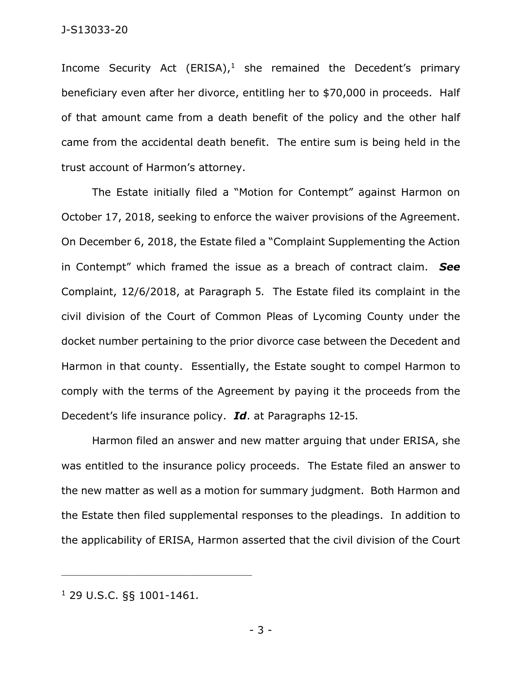Income Security Act (ERISA), $1$  she remained the Decedent's primary beneficiary even after her divorce, entitling her to \$70,000 in proceeds. Half of that amount came from a death benefit of the policy and the other half came from the accidental death benefit. The entire sum is being held in the trust account of Harmon's attorney.

The Estate initially filed a "Motion for Contempt" against Harmon on October 17, 2018, seeking to enforce the waiver provisions of the Agreement. On December 6, 2018, the Estate filed a "Complaint Supplementing the Action in Contempt" which framed the issue as a breach of contract claim. *See* Complaint, 12/6/2018, at Paragraph 5. The Estate filed its complaint in the civil division of the Court of Common Pleas of Lycoming County under the docket number pertaining to the prior divorce case between the Decedent and Harmon in that county. Essentially, the Estate sought to compel Harmon to comply with the terms of the Agreement by paying it the proceeds from the Decedent's life insurance policy. *Id*. at Paragraphs 12-15.

Harmon filed an answer and new matter arguing that under ERISA, she was entitled to the insurance policy proceeds. The Estate filed an answer to the new matter as well as a motion for summary judgment. Both Harmon and the Estate then filed supplemental responses to the pleadings. In addition to the applicability of ERISA, Harmon asserted that the civil division of the Court

<sup>1</sup> 29 U.S.C. §§ 1001-1461*.*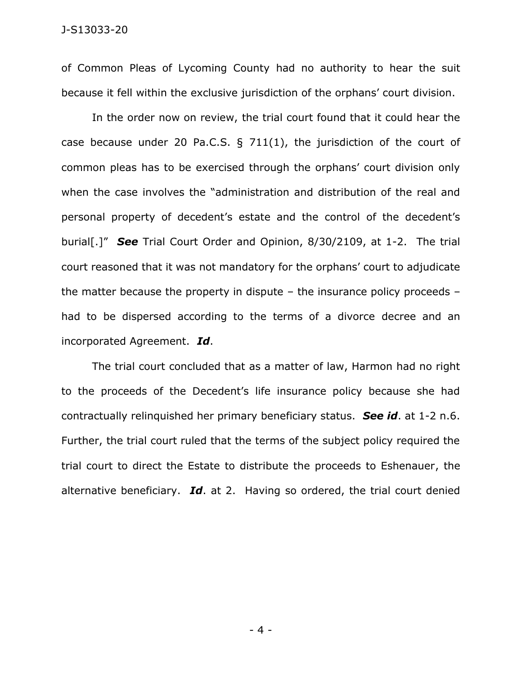of Common Pleas of Lycoming County had no authority to hear the suit because it fell within the exclusive jurisdiction of the orphans' court division.

In the order now on review, the trial court found that it could hear the case because under 20 Pa.C.S.  $\S$  711(1), the jurisdiction of the court of common pleas has to be exercised through the orphans' court division only when the case involves the "administration and distribution of the real and personal property of decedent's estate and the control of the decedent's burial[.]" *See* Trial Court Order and Opinion, 8/30/2109, at 1-2. The trial court reasoned that it was not mandatory for the orphans' court to adjudicate the matter because the property in dispute – the insurance policy proceeds – had to be dispersed according to the terms of a divorce decree and an incorporated Agreement. *Id*.

The trial court concluded that as a matter of law, Harmon had no right to the proceeds of the Decedent's life insurance policy because she had contractually relinquished her primary beneficiary status. *See id*. at 1-2 n.6. Further, the trial court ruled that the terms of the subject policy required the trial court to direct the Estate to distribute the proceeds to Eshenauer, the alternative beneficiary. *Id*. at 2. Having so ordered, the trial court denied

- 4 -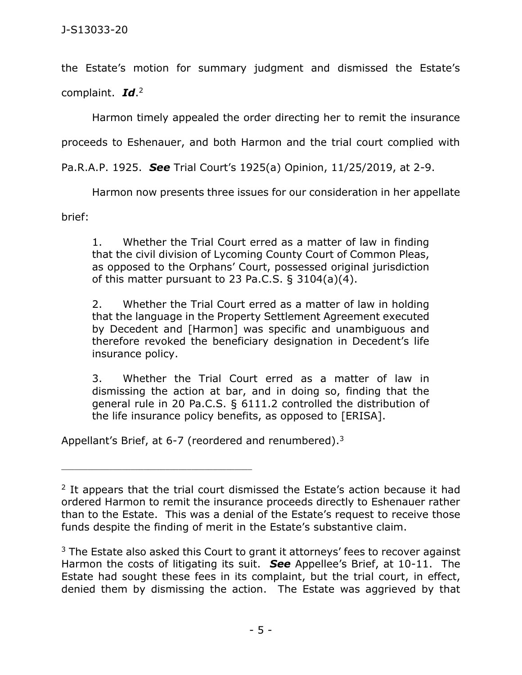the Estate's motion for summary judgment and dismissed the Estate's

complaint. *Id*. 2

Harmon timely appealed the order directing her to remit the insurance

proceeds to Eshenauer, and both Harmon and the trial court complied with

Pa.R.A.P. 1925. *See* Trial Court's 1925(a) Opinion, 11/25/2019, at 2-9.

Harmon now presents three issues for our consideration in her appellate

brief:

1. Whether the Trial Court erred as a matter of law in finding that the civil division of Lycoming County Court of Common Pleas, as opposed to the Orphans' Court, possessed original jurisdiction of this matter pursuant to 23 Pa.C.S.  $\S$  3104(a)(4).

2. Whether the Trial Court erred as a matter of law in holding that the language in the Property Settlement Agreement executed by Decedent and [Harmon] was specific and unambiguous and therefore revoked the beneficiary designation in Decedent's life insurance policy.

3. Whether the Trial Court erred as a matter of law in dismissing the action at bar, and in doing so, finding that the general rule in 20 Pa.C.S. § 6111.2 controlled the distribution of the life insurance policy benefits, as opposed to [ERISA].

Appellant's Brief, at 6-7 (reordered and renumbered).<sup>3</sup>

<sup>&</sup>lt;sup>2</sup> It appears that the trial court dismissed the Estate's action because it had ordered Harmon to remit the insurance proceeds directly to Eshenauer rather than to the Estate. This was a denial of the Estate's request to receive those funds despite the finding of merit in the Estate's substantive claim.

 $3$  The Estate also asked this Court to grant it attorneys' fees to recover against Harmon the costs of litigating its suit. *See* Appellee's Brief, at 10-11. The Estate had sought these fees in its complaint, but the trial court, in effect, denied them by dismissing the action. The Estate was aggrieved by that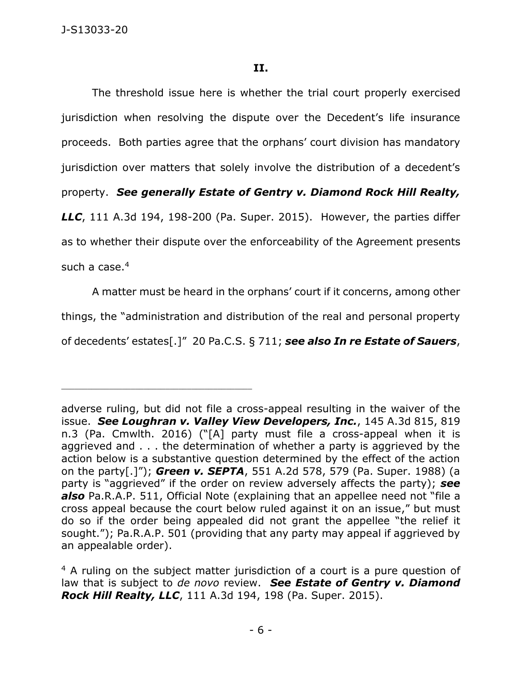The threshold issue here is whether the trial court properly exercised jurisdiction when resolving the dispute over the Decedent's life insurance proceeds. Both parties agree that the orphans' court division has mandatory jurisdiction over matters that solely involve the distribution of a decedent's property. *See generally Estate of Gentry v. Diamond Rock Hill Realty, LLC*, 111 A.3d 194, 198-200 (Pa. Super. 2015). However, the parties differ as to whether their dispute over the enforceability of the Agreement presents such a case. 4

A matter must be heard in the orphans' court if it concerns, among other things, the "administration and distribution of the real and personal property of decedents' estates[.]" 20 Pa.C.S. § 711; *see also In re Estate of Sauers*,

adverse ruling, but did not file a cross-appeal resulting in the waiver of the issue. *See Loughran v. Valley View Developers, Inc.*, 145 A.3d 815, 819 n.3 (Pa. Cmwlth. 2016) ("[A] party must file a cross-appeal when it is aggrieved and . . . the determination of whether a party is aggrieved by the action below is a substantive question determined by the effect of the action on the party[.]"); *Green v. SEPTA*, 551 A.2d 578, 579 (Pa. Super. 1988) (a party is "aggrieved" if the order on review adversely affects the party); *see also* Pa.R.A.P. 511, Official Note (explaining that an appellee need not "file a cross appeal because the court below ruled against it on an issue," but must do so if the order being appealed did not grant the appellee "the relief it sought."); Pa.R.A.P. 501 (providing that any party may appeal if aggrieved by an appealable order).

<sup>&</sup>lt;sup>4</sup> A ruling on the subject matter jurisdiction of a court is a pure question of law that is subject to *de novo* review. *See Estate of Gentry v. Diamond Rock Hill Realty, LLC*, 111 A.3d 194, 198 (Pa. Super. 2015).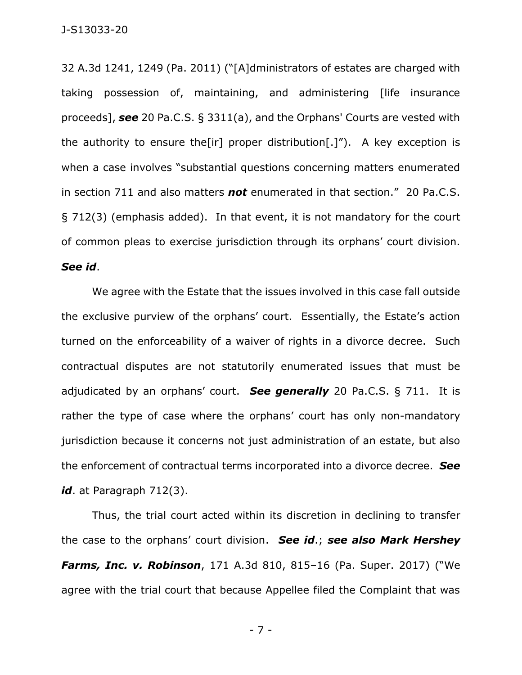32 A.3d 1241, 1249 (Pa. 2011) ("[A]dministrators of estates are charged with taking possession of, maintaining, and administering [life insurance proceeds], *see* 20 Pa.C.S. § 3311(a), and the Orphans' Courts are vested with the authority to ensure the [ir] proper distribution  $[0,1]$ "). A key exception is when a case involves "substantial questions concerning matters enumerated in section 711 and also matters *not* enumerated in that section." 20 Pa.C.S. § 712(3) (emphasis added). In that event, it is not mandatory for the court of common pleas to exercise jurisdiction through its orphans' court division. *See id*.

We agree with the Estate that the issues involved in this case fall outside the exclusive purview of the orphans' court. Essentially, the Estate's action turned on the enforceability of a waiver of rights in a divorce decree. Such contractual disputes are not statutorily enumerated issues that must be adjudicated by an orphans' court. *See generally* 20 Pa.C.S. § 711. It is rather the type of case where the orphans' court has only non-mandatory jurisdiction because it concerns not just administration of an estate, but also the enforcement of contractual terms incorporated into a divorce decree. *See*  id. at Paragraph 712(3).

Thus, the trial court acted within its discretion in declining to transfer the case to the orphans' court division. *See id*.; *see also Mark Hershey Farms, Inc. v. Robinson*, 171 A.3d 810, 815–16 (Pa. Super. 2017) ("We agree with the trial court that because Appellee filed the Complaint that was

- 7 -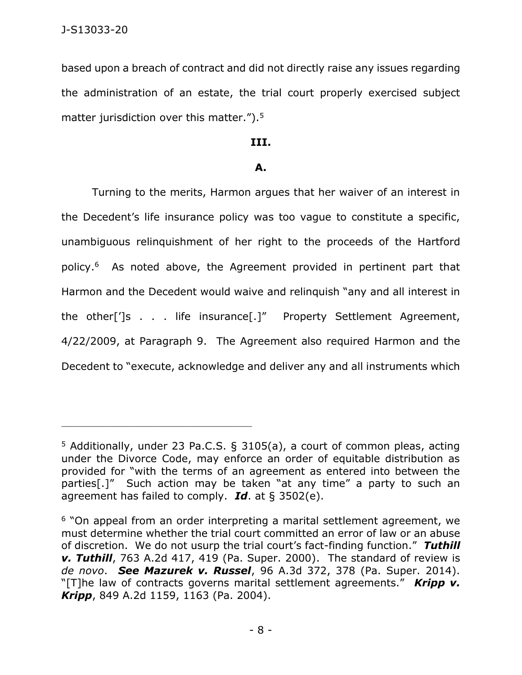based upon a breach of contract and did not directly raise any issues regarding the administration of an estate, the trial court properly exercised subject matter jurisdiction over this matter.").<sup>5</sup>

#### **III.**

# **A.**

Turning to the merits, Harmon argues that her waiver of an interest in the Decedent's life insurance policy was too vague to constitute a specific, unambiguous relinquishment of her right to the proceeds of the Hartford policy.<sup>6</sup> As noted above, the Agreement provided in pertinent part that Harmon and the Decedent would waive and relinquish "any and all interest in the other[']s . . . life insurance[.]" Property Settlement Agreement, 4/22/2009, at Paragraph 9. The Agreement also required Harmon and the Decedent to "execute, acknowledge and deliver any and all instruments which

<sup>5</sup> Additionally, under 23 Pa.C.S. § 3105(a), a court of common pleas, acting under the Divorce Code, may enforce an order of equitable distribution as provided for "with the terms of an agreement as entered into between the parties[.]" Such action may be taken "at any time" a party to such an agreement has failed to comply. *Id*. at § 3502(e).

<sup>6</sup> "On appeal from an order interpreting a marital settlement agreement, we must determine whether the trial court committed an error of law or an abuse of discretion. We do not usurp the trial court's fact-finding function." *Tuthill v. Tuthill*, 763 A.2d 417, 419 (Pa. Super. 2000). The standard of review is *de novo*. *See Mazurek v. Russel*, 96 A.3d 372, 378 (Pa. Super. 2014). "[T]he law of contracts governs marital settlement agreements." *Kripp v. Kripp*, 849 A.2d 1159, 1163 (Pa. 2004).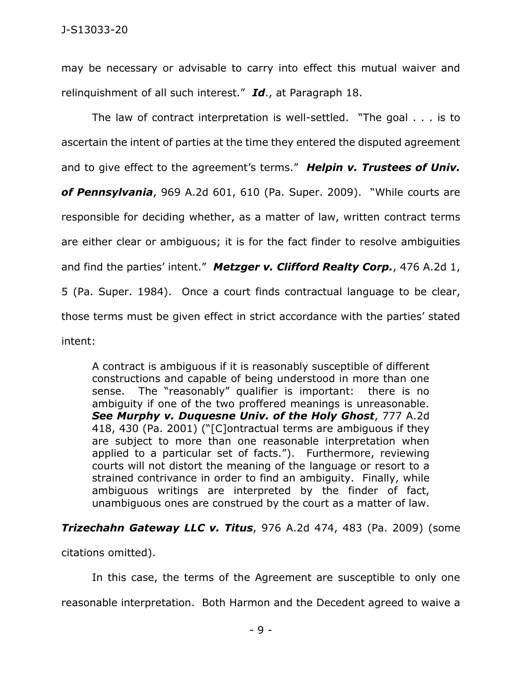may be necessary or advisable to carry into effect this mutual waiver and relinquishment of all such interest." *Id*., at Paragraph 18.

The law of contract interpretation is well-settled. "The goal . . . is to ascertain the intent of parties at the time they entered the disputed agreement and to give effect to the agreement's terms." *Helpin v. Trustees of Univ. of Pennsylvania*, 969 A.2d 601, 610 (Pa. Super. 2009). "While courts are responsible for deciding whether, as a matter of law, written contract terms are either clear or ambiguous; it is for the fact finder to resolve ambiguities and find the parties' intent." *Metzger v. Clifford Realty Corp.*, 476 A.2d 1, 5 (Pa. Super. 1984). Once a court finds contractual language to be clear, those terms must be given effect in strict accordance with the parties' stated intent:

A contract is ambiguous if it is reasonably susceptible of different constructions and capable of being understood in more than one sense. The "reasonably" qualifier is important: there is no ambiguity if one of the two proffered meanings is unreasonable. *See Murphy v. Duquesne Univ. of the Holy Ghost*, 777 A.2d 418, 430 (Pa. 2001) ("[C]ontractual terms are ambiguous if they are subject to more than one reasonable interpretation when applied to a particular set of facts."). Furthermore, reviewing courts will not distort the meaning of the language or resort to a strained contrivance in order to find an ambiguity. Finally, while ambiguous writings are interpreted by the finder of fact, unambiguous ones are construed by the court as a matter of law.

# *Trizechahn Gateway LLC v. Titus*, 976 A.2d 474, 483 (Pa. 2009) (some

citations omitted).

In this case, the terms of the Agreement are susceptible to only one reasonable interpretation. Both Harmon and the Decedent agreed to waive a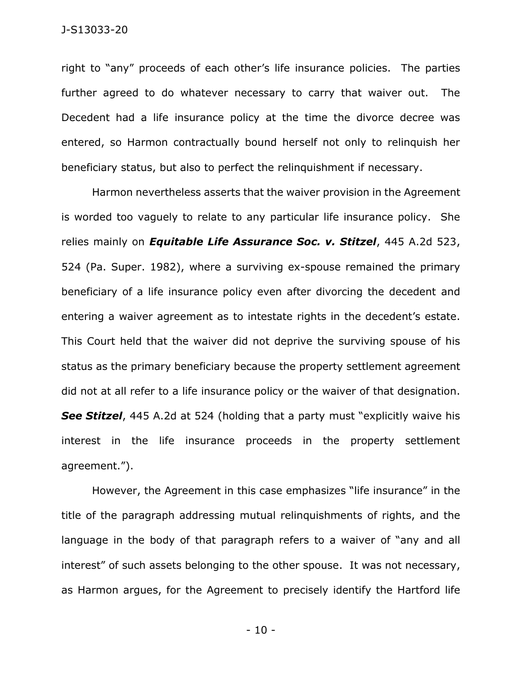right to "any" proceeds of each other's life insurance policies. The parties further agreed to do whatever necessary to carry that waiver out. The Decedent had a life insurance policy at the time the divorce decree was entered, so Harmon contractually bound herself not only to relinquish her beneficiary status, but also to perfect the relinquishment if necessary.

Harmon nevertheless asserts that the waiver provision in the Agreement is worded too vaguely to relate to any particular life insurance policy. She relies mainly on *Equitable Life Assurance Soc. v. Stitzel*, 445 A.2d 523, 524 (Pa. Super. 1982), where a surviving ex-spouse remained the primary beneficiary of a life insurance policy even after divorcing the decedent and entering a waiver agreement as to intestate rights in the decedent's estate. This Court held that the waiver did not deprive the surviving spouse of his status as the primary beneficiary because the property settlement agreement did not at all refer to a life insurance policy or the waiver of that designation. **See Stitzel**, 445 A.2d at 524 (holding that a party must "explicitly waive his interest in the life insurance proceeds in the property settlement agreement.").

However, the Agreement in this case emphasizes "life insurance" in the title of the paragraph addressing mutual relinquishments of rights, and the language in the body of that paragraph refers to a waiver of "any and all interest" of such assets belonging to the other spouse. It was not necessary, as Harmon argues, for the Agreement to precisely identify the Hartford life

- 10 -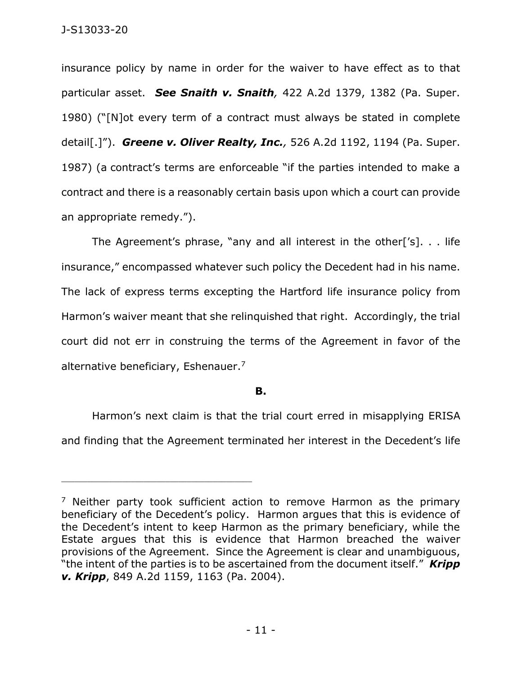insurance policy by name in order for the waiver to have effect as to that particular asset. *See Snaith v. Snaith,* 422 A.2d 1379, 1382 (Pa. Super. 1980) ("[N]ot every term of a contract must always be stated in complete detail[.]"). *Greene v. Oliver Realty, Inc.,* 526 A.2d 1192, 1194 (Pa. Super. 1987) (a contract's terms are enforceable "if the parties intended to make a contract and there is a reasonably certain basis upon which a court can provide an appropriate remedy.").

The Agreement's phrase, "any and all interest in the other['s]. . . life insurance," encompassed whatever such policy the Decedent had in his name. The lack of express terms excepting the Hartford life insurance policy from Harmon's waiver meant that she relinquished that right. Accordingly, the trial court did not err in construing the terms of the Agreement in favor of the alternative beneficiary, Eshenauer.<sup>7</sup>

# **B.**

Harmon's next claim is that the trial court erred in misapplying ERISA and finding that the Agreement terminated her interest in the Decedent's life

<sup>&</sup>lt;sup>7</sup> Neither party took sufficient action to remove Harmon as the primary beneficiary of the Decedent's policy. Harmon argues that this is evidence of the Decedent's intent to keep Harmon as the primary beneficiary, while the Estate argues that this is evidence that Harmon breached the waiver provisions of the Agreement. Since the Agreement is clear and unambiguous, "the intent of the parties is to be ascertained from the document itself." *Kripp v. Kripp*, 849 A.2d 1159, 1163 (Pa. 2004).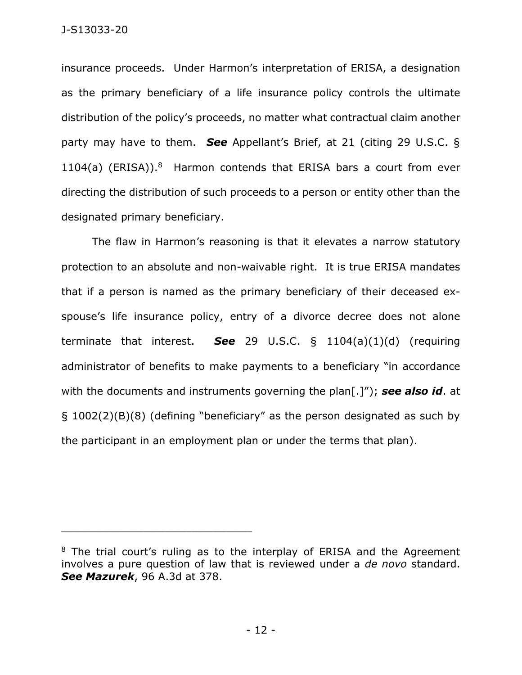insurance proceeds. Under Harmon's interpretation of ERISA, a designation as the primary beneficiary of a life insurance policy controls the ultimate distribution of the policy's proceeds, no matter what contractual claim another party may have to them. *See* Appellant's Brief, at 21 (citing 29 U.S.C. §  $1104(a)$  (ERISA)).<sup>8</sup> Harmon contends that ERISA bars a court from ever directing the distribution of such proceeds to a person or entity other than the designated primary beneficiary.

The flaw in Harmon's reasoning is that it elevates a narrow statutory protection to an absolute and non-waivable right. It is true ERISA mandates that if a person is named as the primary beneficiary of their deceased exspouse's life insurance policy, entry of a divorce decree does not alone terminate that interest. *See* 29 U.S.C. § 1104(a)(1)(d) (requiring administrator of benefits to make payments to a beneficiary "in accordance with the documents and instruments governing the plan[.]"); *see also id*. at § 1002(2)(B)(8) (defining "beneficiary" as the person designated as such by the participant in an employment plan or under the terms that plan).

<sup>&</sup>lt;sup>8</sup> The trial court's ruling as to the interplay of ERISA and the Agreement involves a pure question of law that is reviewed under a *de novo* standard. *See Mazurek*, 96 A.3d at 378.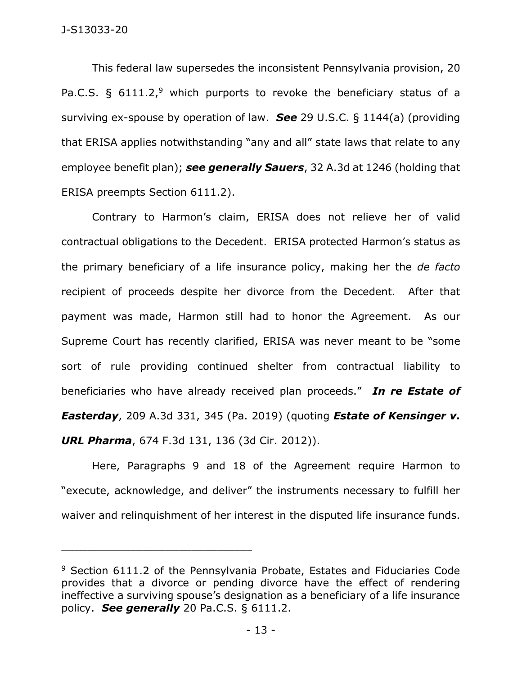This federal law supersedes the inconsistent Pennsylvania provision, 20 Pa.C.S. §  $6111.2$ ,<sup>9</sup> which purports to revoke the beneficiary status of a surviving ex-spouse by operation of law. *See* 29 U.S.C. § 1144(a) (providing that ERISA applies notwithstanding "any and all" state laws that relate to any employee benefit plan); *see generally Sauers*, 32 A.3d at 1246 (holding that ERISA preempts Section 6111.2).

Contrary to Harmon's claim, ERISA does not relieve her of valid contractual obligations to the Decedent. ERISA protected Harmon's status as the primary beneficiary of a life insurance policy, making her the *de facto* recipient of proceeds despite her divorce from the Decedent. After that payment was made, Harmon still had to honor the Agreement. As our Supreme Court has recently clarified, ERISA was never meant to be "some sort of rule providing continued shelter from contractual liability to beneficiaries who have already received plan proceeds." *In re Estate of Easterday*, 209 A.3d 331, 345 (Pa. 2019) (quoting *Estate of Kensinger v. URL Pharma*, 674 F.3d 131, 136 (3d Cir. 2012)).

Here, Paragraphs 9 and 18 of the Agreement require Harmon to "execute, acknowledge, and deliver" the instruments necessary to fulfill her waiver and relinquishment of her interest in the disputed life insurance funds.

 $9$  Section 6111.2 of the Pennsylvania Probate, Estates and Fiduciaries Code provides that a divorce or pending divorce have the effect of rendering ineffective a surviving spouse's designation as a beneficiary of a life insurance policy. *See generally* 20 Pa.C.S. § 6111.2.